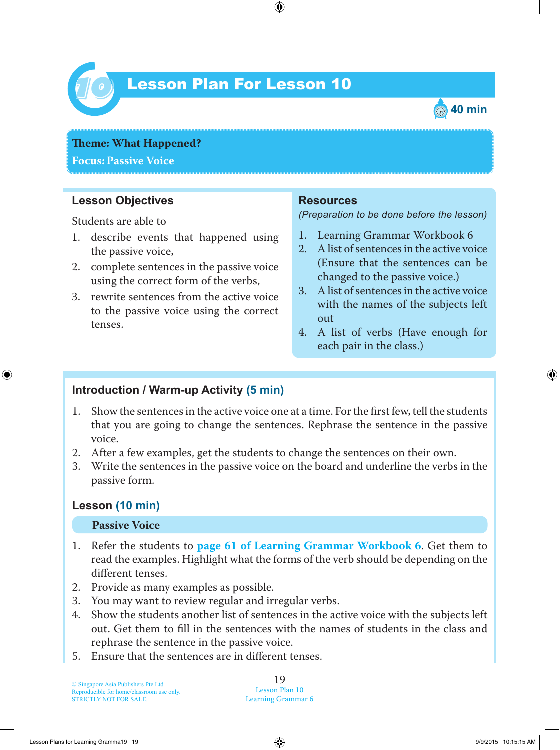

# Lesson Plan For Lesson 10 *10*



**Theme: What Happened? Focus: Passive Voice**

#### **Lesson Objectives**

Students are able to

- 1. describe events that happened using the passive voice,
- 2. complete sentences in the passive voice using the correct form of the verbs,
- 3. rewrite sentences from the active voice to the passive voice using the correct tenses.

#### **Resources**

*(Preparation to be done before the lesson)*

- 1. Learning Grammar Workbook 6
- 2. A list of sentences in the active voice (Ensure that the sentences can be changed to the passive voice.)
- 3. A list of sentences in the active voice with the names of the subjects left out
- 4. A list of verbs (Have enough for each pair in the class.)

### **Introduction / Warm-up Activity (5 min)**

- 1 . Show the sentences in the active voice one at a time. For the first few, tell the students that you are going to change the sentences. Rephrase the sentence in the passive voice.
- 2. After a few examples, get the students to change the sentences on their own.
- 3. Write the sentences in the passive voice on the board and underline the verbs in the passive form.

#### **Lesson (10 min)**

#### **Passive Voice**

- 1 . Refer the students to **page 61 of Learning Grammar Workbook 6**. Get them to read the examples. Highlight what the forms of the verb should be depending on the different tenses.
- 2. Provide as many examples as possible.
- 3. You may want to review regular and irregular verbs.
- 4. Show the students another list of sentences in the active voice with the subjects left out. Get them to fill in the sentences with the names of students in the class and rephrase the sentence in the passive voice.
- 5. Ensure that the sentences are in different tenses.